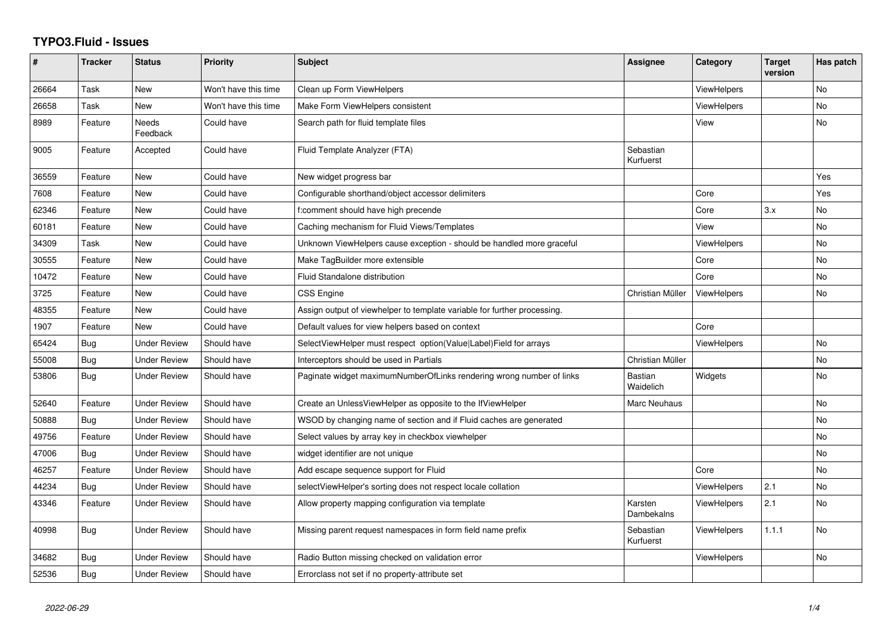## **TYPO3.Fluid - Issues**

| #     | <b>Tracker</b> | <b>Status</b>            | <b>Priority</b>      | <b>Subject</b>                                                           | Assignee               | Category           | <b>Target</b><br>version | Has patch      |
|-------|----------------|--------------------------|----------------------|--------------------------------------------------------------------------|------------------------|--------------------|--------------------------|----------------|
| 26664 | Task           | <b>New</b>               | Won't have this time | Clean up Form ViewHelpers                                                |                        | <b>ViewHelpers</b> |                          | <b>No</b>      |
| 26658 | Task           | New                      | Won't have this time | Make Form ViewHelpers consistent                                         |                        | <b>ViewHelpers</b> |                          | No             |
| 8989  | Feature        | <b>Needs</b><br>Feedback | Could have           | Search path for fluid template files                                     |                        | View               |                          | N <sub>o</sub> |
| 9005  | Feature        | Accepted                 | Could have           | Fluid Template Analyzer (FTA)                                            | Sebastian<br>Kurfuerst |                    |                          |                |
| 36559 | Feature        | <b>New</b>               | Could have           | New widget progress bar                                                  |                        |                    |                          | Yes            |
| 7608  | Feature        | New                      | Could have           | Configurable shorthand/object accessor delimiters                        |                        | Core               |                          | Yes            |
| 62346 | Feature        | New                      | Could have           | f:comment should have high precende                                      |                        | Core               | 3.x                      | N <sub>o</sub> |
| 60181 | Feature        | New                      | Could have           | Caching mechanism for Fluid Views/Templates                              |                        | View               |                          | <b>No</b>      |
| 34309 | Task           | <b>New</b>               | Could have           | Unknown ViewHelpers cause exception - should be handled more graceful    |                        | <b>ViewHelpers</b> |                          | <b>No</b>      |
| 30555 | Feature        | New                      | Could have           | Make TagBuilder more extensible                                          |                        | Core               |                          | <b>No</b>      |
| 10472 | Feature        | New                      | Could have           | Fluid Standalone distribution                                            |                        | Core               |                          | No             |
| 3725  | Feature        | <b>New</b>               | Could have           | <b>CSS Engine</b>                                                        | Christian Müller       | <b>ViewHelpers</b> |                          | <b>No</b>      |
| 48355 | Feature        | New                      | Could have           | Assign output of viewhelper to template variable for further processing. |                        |                    |                          |                |
| 1907  | Feature        | <b>New</b>               | Could have           | Default values for view helpers based on context                         |                        | Core               |                          |                |
| 65424 | Bug            | <b>Under Review</b>      | Should have          | SelectViewHelper must respect option(Value Label)Field for arrays        |                        | ViewHelpers        |                          | <b>No</b>      |
| 55008 | Bug            | Under Review             | Should have          | Interceptors should be used in Partials                                  | Christian Müller       |                    |                          | No             |
| 53806 | Bug            | Under Review             | Should have          | Paginate widget maximumNumberOfLinks rendering wrong number of links     | Bastian<br>Waidelich   | Widgets            |                          | No             |
| 52640 | Feature        | <b>Under Review</b>      | Should have          | Create an UnlessViewHelper as opposite to the IfViewHelper               | Marc Neuhaus           |                    |                          | N <sub>o</sub> |
| 50888 | Bug            | <b>Under Review</b>      | Should have          | WSOD by changing name of section and if Fluid caches are generated       |                        |                    |                          | <b>No</b>      |
| 49756 | Feature        | <b>Under Review</b>      | Should have          | Select values by array key in checkbox viewhelper                        |                        |                    |                          | No             |
| 47006 | Bug            | <b>Under Review</b>      | Should have          | widget identifier are not unique                                         |                        |                    |                          | N <sub>o</sub> |
| 46257 | Feature        | Under Review             | Should have          | Add escape sequence support for Fluid                                    |                        | Core               |                          | <b>No</b>      |
| 44234 | Bug            | <b>Under Review</b>      | Should have          | selectViewHelper's sorting does not respect locale collation             |                        | ViewHelpers        | 2.1                      | <b>No</b>      |
| 43346 | Feature        | Under Review             | Should have          | Allow property mapping configuration via template                        | Karsten<br>Dambekalns  | ViewHelpers        | 2.1                      | N <sub>o</sub> |
| 40998 | Bug            | <b>Under Review</b>      | Should have          | Missing parent request namespaces in form field name prefix              | Sebastian<br>Kurfuerst | <b>ViewHelpers</b> | 1.1.1                    | N <sub>o</sub> |
| 34682 | Bug            | <b>Under Review</b>      | Should have          | Radio Button missing checked on validation error                         |                        | ViewHelpers        |                          | <b>No</b>      |
| 52536 | <b>Bug</b>     | <b>Under Review</b>      | Should have          | Errorclass not set if no property-attribute set                          |                        |                    |                          |                |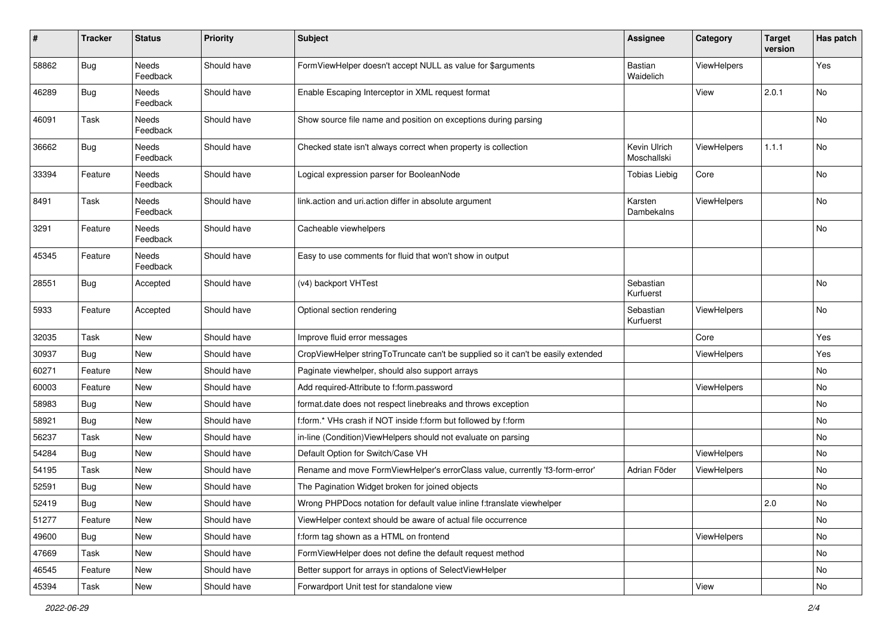| $\pmb{\#}$ | <b>Tracker</b> | <b>Status</b>     | <b>Priority</b> | <b>Subject</b>                                                                   | <b>Assignee</b>             | Category           | <b>Target</b><br>version | Has patch |
|------------|----------------|-------------------|-----------------|----------------------------------------------------------------------------------|-----------------------------|--------------------|--------------------------|-----------|
| 58862      | Bug            | Needs<br>Feedback | Should have     | FormViewHelper doesn't accept NULL as value for \$arguments                      | Bastian<br>Waidelich        | ViewHelpers        |                          | Yes       |
| 46289      | Bug            | Needs<br>Feedback | Should have     | Enable Escaping Interceptor in XML request format                                |                             | View               | 2.0.1                    | No        |
| 46091      | Task           | Needs<br>Feedback | Should have     | Show source file name and position on exceptions during parsing                  |                             |                    |                          | No        |
| 36662      | Bug            | Needs<br>Feedback | Should have     | Checked state isn't always correct when property is collection                   | Kevin Ulrich<br>Moschallski | <b>ViewHelpers</b> | 1.1.1                    | No        |
| 33394      | Feature        | Needs<br>Feedback | Should have     | Logical expression parser for BooleanNode                                        | <b>Tobias Liebig</b>        | Core               |                          | No        |
| 8491       | Task           | Needs<br>Feedback | Should have     | link.action and uri.action differ in absolute argument                           | Karsten<br>Dambekalns       | ViewHelpers        |                          | No        |
| 3291       | Feature        | Needs<br>Feedback | Should have     | Cacheable viewhelpers                                                            |                             |                    |                          | No        |
| 45345      | Feature        | Needs<br>Feedback | Should have     | Easy to use comments for fluid that won't show in output                         |                             |                    |                          |           |
| 28551      | Bug            | Accepted          | Should have     | (v4) backport VHTest                                                             | Sebastian<br>Kurfuerst      |                    |                          | No        |
| 5933       | Feature        | Accepted          | Should have     | Optional section rendering                                                       | Sebastian<br>Kurfuerst      | <b>ViewHelpers</b> |                          | No        |
| 32035      | Task           | New               | Should have     | Improve fluid error messages                                                     |                             | Core               |                          | Yes       |
| 30937      | <b>Bug</b>     | New               | Should have     | CropViewHelper stringToTruncate can't be supplied so it can't be easily extended |                             | ViewHelpers        |                          | Yes       |
| 60271      | Feature        | New               | Should have     | Paginate viewhelper, should also support arrays                                  |                             |                    |                          | No        |
| 60003      | Feature        | New               | Should have     | Add required-Attribute to f:form.password                                        |                             | <b>ViewHelpers</b> |                          | No        |
| 58983      | Bug            | New               | Should have     | format.date does not respect linebreaks and throws exception                     |                             |                    |                          | No        |
| 58921      | Bug            | New               | Should have     | f:form.* VHs crash if NOT inside f:form but followed by f:form                   |                             |                    |                          | No        |
| 56237      | Task           | New               | Should have     | in-line (Condition) ViewHelpers should not evaluate on parsing                   |                             |                    |                          | No        |
| 54284      | Bug            | New               | Should have     | Default Option for Switch/Case VH                                                |                             | ViewHelpers        |                          | No        |
| 54195      | Task           | New               | Should have     | Rename and move FormViewHelper's errorClass value, currently 'f3-form-error'     | Adrian Föder                | ViewHelpers        |                          | No        |
| 52591      | Bug            | New               | Should have     | The Pagination Widget broken for joined objects                                  |                             |                    |                          | No        |
| 52419      | Bug            | New               | Should have     | Wrong PHPDocs notation for default value inline f:translate viewhelper           |                             |                    | 2.0                      | No        |
| 51277      | Feature        | New               | Should have     | ViewHelper context should be aware of actual file occurrence                     |                             |                    |                          | No        |
| 49600      | Bug            | New               | Should have     | f:form tag shown as a HTML on frontend                                           |                             | ViewHelpers        |                          | No        |
| 47669      | Task           | New               | Should have     | FormViewHelper does not define the default request method                        |                             |                    |                          | No        |
| 46545      | Feature        | New               | Should have     | Better support for arrays in options of SelectViewHelper                         |                             |                    |                          | No        |
| 45394      | Task           | New               | Should have     | Forwardport Unit test for standalone view                                        |                             | View               |                          | No        |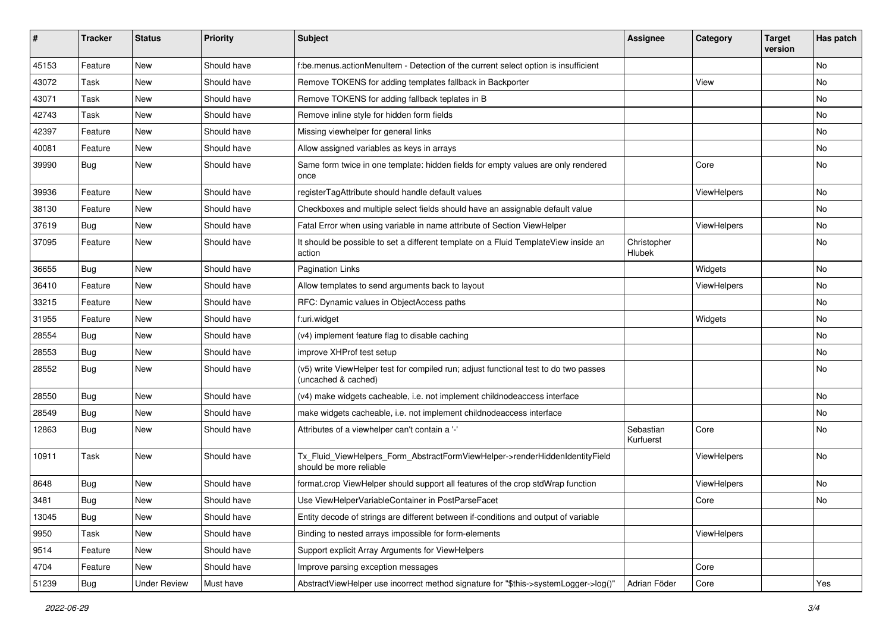| ∦     | <b>Tracker</b> | <b>Status</b>       | <b>Priority</b> | <b>Subject</b>                                                                                              | <b>Assignee</b>        | Category    | <b>Target</b><br>version | Has patch |
|-------|----------------|---------------------|-----------------|-------------------------------------------------------------------------------------------------------------|------------------------|-------------|--------------------------|-----------|
| 45153 | Feature        | New                 | Should have     | f:be.menus.actionMenuItem - Detection of the current select option is insufficient                          |                        |             |                          | <b>No</b> |
| 43072 | Task           | New                 | Should have     | Remove TOKENS for adding templates fallback in Backporter                                                   |                        | View        |                          | No        |
| 43071 | Task           | New                 | Should have     | Remove TOKENS for adding fallback teplates in B                                                             |                        |             |                          | No        |
| 42743 | Task           | New                 | Should have     | Remove inline style for hidden form fields                                                                  |                        |             |                          | No        |
| 42397 | Feature        | New                 | Should have     | Missing viewhelper for general links                                                                        |                        |             |                          | No        |
| 40081 | Feature        | New                 | Should have     | Allow assigned variables as keys in arrays                                                                  |                        |             |                          | No        |
| 39990 | Bug            | New                 | Should have     | Same form twice in one template: hidden fields for empty values are only rendered<br>once                   |                        | Core        |                          | No        |
| 39936 | Feature        | New                 | Should have     | registerTagAttribute should handle default values                                                           |                        | ViewHelpers |                          | No        |
| 38130 | Feature        | New                 | Should have     | Checkboxes and multiple select fields should have an assignable default value                               |                        |             |                          | No        |
| 37619 | <b>Bug</b>     | New                 | Should have     | Fatal Error when using variable in name attribute of Section ViewHelper                                     |                        | ViewHelpers |                          | <b>No</b> |
| 37095 | Feature        | New                 | Should have     | It should be possible to set a different template on a Fluid TemplateView inside an<br>action               | Christopher<br>Hlubek  |             |                          | No        |
| 36655 | Bug            | <b>New</b>          | Should have     | <b>Pagination Links</b>                                                                                     |                        | Widgets     |                          | <b>No</b> |
| 36410 | Feature        | New                 | Should have     | Allow templates to send arguments back to layout                                                            |                        | ViewHelpers |                          | No        |
| 33215 | Feature        | New                 | Should have     | RFC: Dynamic values in ObjectAccess paths                                                                   |                        |             |                          | No        |
| 31955 | Feature        | New                 | Should have     | f:uri.widget                                                                                                |                        | Widgets     |                          | <b>No</b> |
| 28554 | <b>Bug</b>     | New                 | Should have     | (v4) implement feature flag to disable caching                                                              |                        |             |                          | No        |
| 28553 | <b>Bug</b>     | New                 | Should have     | improve XHProf test setup                                                                                   |                        |             |                          | <b>No</b> |
| 28552 | Bug            | New                 | Should have     | (v5) write ViewHelper test for compiled run; adjust functional test to do two passes<br>(uncached & cached) |                        |             |                          | No        |
| 28550 | Bug            | New                 | Should have     | (v4) make widgets cacheable, i.e. not implement childnodeaccess interface                                   |                        |             |                          | No        |
| 28549 | Bug            | New                 | Should have     | make widgets cacheable, i.e. not implement childnodeaccess interface                                        |                        |             |                          | No        |
| 12863 | <b>Bug</b>     | New                 | Should have     | Attributes of a viewhelper can't contain a '-'                                                              | Sebastian<br>Kurfuerst | Core        |                          | No        |
| 10911 | Task           | New                 | Should have     | Tx_Fluid_ViewHelpers_Form_AbstractFormViewHelper->renderHiddenIdentityField<br>should be more reliable      |                        | ViewHelpers |                          | No        |
| 8648  | Bug            | New                 | Should have     | format.crop ViewHelper should support all features of the crop stdWrap function                             |                        | ViewHelpers |                          | No        |
| 3481  | Bug            | New                 | Should have     | Use ViewHelperVariableContainer in PostParseFacet                                                           |                        | Core        |                          | No        |
| 13045 | <b>Bug</b>     | New                 | Should have     | Entity decode of strings are different between if-conditions and output of variable                         |                        |             |                          |           |
| 9950  | Task           | New                 | Should have     | Binding to nested arrays impossible for form-elements                                                       |                        | ViewHelpers |                          |           |
| 9514  | Feature        | New                 | Should have     | Support explicit Array Arguments for ViewHelpers                                                            |                        |             |                          |           |
| 4704  | Feature        | New                 | Should have     | Improve parsing exception messages                                                                          |                        | Core        |                          |           |
| 51239 | Bug            | <b>Under Review</b> | Must have       | AbstractViewHelper use incorrect method signature for "\$this->systemLogger->log()"                         | Adrian Föder           | Core        |                          | Yes       |